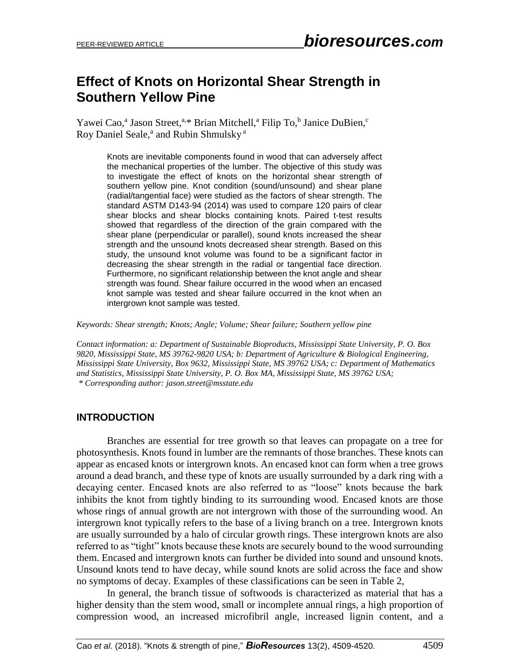# **Effect of Knots on Horizontal Shear Strength in Southern Yellow Pine**

Yawei Cao,<sup>a</sup> Jason Street,<sup>a,\*</sup> Brian Mitchell,<sup>a</sup> Filip To,<sup>b</sup> Janice DuBien,<sup>c</sup> Roy Daniel Seale,<sup>a</sup> and Rubin Shmulsky<sup>a</sup>

> Knots are inevitable components found in wood that can adversely affect the mechanical properties of the lumber. The objective of this study was to investigate the effect of knots on the horizontal shear strength of southern yellow pine. Knot condition (sound/unsound) and shear plane (radial/tangential face) were studied as the factors of shear strength. The standard ASTM D143-94 (2014) was used to compare 120 pairs of clear shear blocks and shear blocks containing knots. Paired t-test results showed that regardless of the direction of the grain compared with the shear plane (perpendicular or parallel), sound knots increased the shear strength and the unsound knots decreased shear strength. Based on this study, the unsound knot volume was found to be a significant factor in decreasing the shear strength in the radial or tangential face direction. Furthermore, no significant relationship between the knot angle and shear strength was found. Shear failure occurred in the wood when an encased knot sample was tested and shear failure occurred in the knot when an intergrown knot sample was tested.

*Keywords: Shear strength; Knots; Angle; Volume; Shear failure; Southern yellow pine*

*Contact information: a: Department of Sustainable Bioproducts, Mississippi State University, P. O. Box 9820, Mississippi State, MS 39762-9820 USA; b: Department of Agriculture & Biological Engineering, Mississippi State University, Box 9632, Mississippi State, MS 39762 USA; c: Department of Mathematics and Statistics, Mississippi State University, P. O. Box MA, Mississippi State, MS 39762 USA; \* Corresponding author[: jason.street@msstate.edu](mailto:jason.street@msstate.edu)*

## **INTRODUCTION**

Branches are essential for tree growth so that leaves can propagate on a tree for photosynthesis. Knots found in lumber are the remnants of those branches. These knots can appear as encased knots or intergrown knots. An encased knot can form when a tree grows around a dead branch, and these type of knots are usually surrounded by a dark ring with a decaying center. Encased knots are also referred to as "loose" knots because the bark inhibits the knot from tightly binding to its surrounding wood. Encased knots are those whose rings of annual growth are not intergrown with those of the surrounding wood. An intergrown knot typically refers to the base of a living branch on a tree. Intergrown knots are usually surrounded by a halo of circular growth rings. These intergrown knots are also referred to as "tight" knots because these knots are securely bound to the wood surrounding them. Encased and intergrown knots can further be divided into sound and unsound knots. Unsound knots tend to have decay, while sound knots are solid across the face and show no symptoms of decay. Examples of these classifications can be seen in Table 2,

In general, the branch tissue of softwoods is characterized as material that has a higher density than the stem wood, small or incomplete annual rings, a high proportion of compression wood, an increased microfibril angle, increased lignin content, and a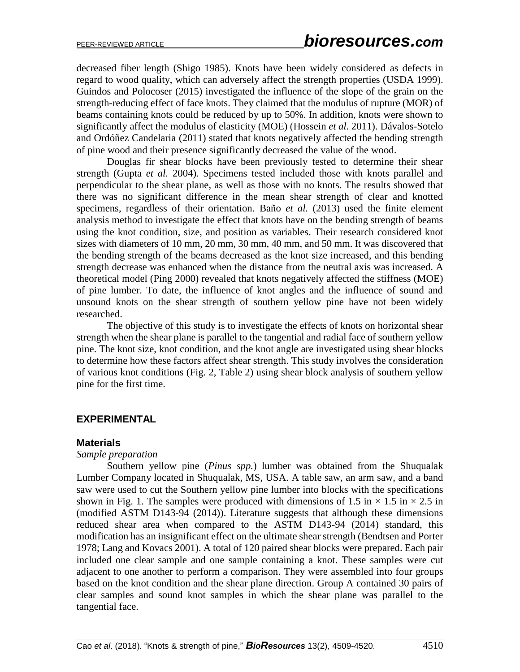decreased fiber length (Shigo 1985). Knots have been widely considered as defects in regard to wood quality, which can adversely affect the strength properties (USDA 1999). Guindos and Polocoser (2015) investigated the influence of the slope of the grain on the strength-reducing effect of face knots. They claimed that the modulus of rupture (MOR) of beams containing knots could be reduced by up to 50%. In addition, knots were shown to significantly affect the modulus of elasticity (MOE) (Hossein *et al.* 2011). Dávalos-Sotelo and Ordóñez Candelaria (2011) stated that knots negatively affected the bending strength of pine wood and their presence significantly decreased the value of the wood.

Douglas fir shear blocks have been previously tested to determine their shear strength (Gupta *et al.* 2004). Specimens tested included those with knots parallel and perpendicular to the shear plane, as well as those with no knots. The results showed that there was no significant difference in the mean shear strength of clear and knotted specimens, regardless of their orientation. Baño *et al.* (2013) used the finite element analysis method to investigate the effect that knots have on the bending strength of beams using the knot condition, size, and position as variables. Their research considered knot sizes with diameters of 10 mm, 20 mm, 30 mm, 40 mm, and 50 mm. It was discovered that the bending strength of the beams decreased as the knot size increased, and this bending strength decrease was enhanced when the distance from the neutral axis was increased. A theoretical model (Ping 2000) revealed that knots negatively affected the stiffness (MOE) of pine lumber. To date, the influence of knot angles and the influence of sound and unsound knots on the shear strength of southern yellow pine have not been widely researched.

The objective of this study is to investigate the effects of knots on horizontal shear strength when the shear plane is parallel to the tangential and radial face of southern yellow pine. The knot size, knot condition, and the knot angle are investigated using shear blocks to determine how these factors affect shear strength. This study involves the consideration of various knot conditions (Fig. 2, Table 2) using shear block analysis of southern yellow pine for the first time.

## **EXPERIMENTAL**

#### **Materials**

#### *Sample preparation*

Southern yellow pine (*Pinus spp.*) lumber was obtained from the Shuqualak Lumber Company located in Shuqualak, MS, USA. A table saw, an arm saw, and a band saw were used to cut the Southern yellow pine lumber into blocks with the specifications shown in Fig. 1. The samples were produced with dimensions of 1.5 in  $\times$  1.5 in  $\times$  2.5 in (modified ASTM D143-94 (2014)). Literature suggests that although these dimensions reduced shear area when compared to the ASTM D143-94 (2014) standard, this modification has an insignificant effect on the ultimate shear strength (Bendtsen and Porter 1978; Lang and Kovacs 2001). A total of 120 paired shear blocks were prepared. Each pair included one clear sample and one sample containing a knot. These samples were cut adjacent to one another to perform a comparison. They were assembled into four groups based on the knot condition and the shear plane direction. Group A contained 30 pairs of clear samples and sound knot samples in which the shear plane was parallel to the tangential face.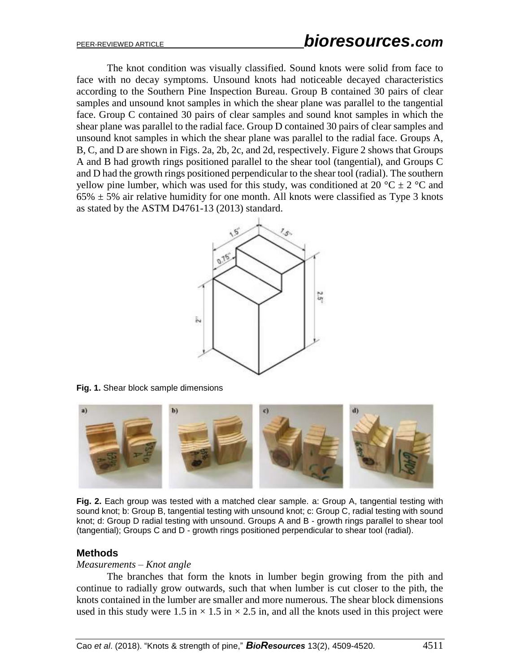The knot condition was visually classified. Sound knots were solid from face to face with no decay symptoms. Unsound knots had noticeable decayed characteristics according to the Southern Pine Inspection Bureau. Group B contained 30 pairs of clear samples and unsound knot samples in which the shear plane was parallel to the tangential face. Group C contained 30 pairs of clear samples and sound knot samples in which the shear plane was parallel to the radial face. Group D contained 30 pairs of clear samples and unsound knot samples in which the shear plane was parallel to the radial face. Groups A, B, C, and D are shown in Figs. 2a, 2b, 2c, and 2d, respectively. Figure 2 shows that Groups A and B had growth rings positioned parallel to the shear tool (tangential), and Groups C and D had the growth rings positioned perpendicular to the shear tool (radial). The southern yellow pine lumber, which was used for this study, was conditioned at 20  $^{\circ}$ C  $\pm$  2  $^{\circ}$ C and  $65\% \pm 5\%$  air relative humidity for one month. All knots were classified as Type 3 knots as stated by the ASTM D4761-13 (2013) standard.



**Fig. 1.** Shear block sample dimensions



**Fig. 2.** Each group was tested with a matched clear sample. a: Group A, tangential testing with sound knot; b: Group B, tangential testing with unsound knot; c: Group C, radial testing with sound knot; d: Group D radial testing with unsound. Groups A and B - growth rings parallel to shear tool (tangential); Groups C and D - growth rings positioned perpendicular to shear tool (radial).

## **Methods**

#### *Measurements – Knot angle*

The branches that form the knots in lumber begin growing from the pith and continue to radially grow outwards, such that when lumber is cut closer to the pith, the knots contained in the lumber are smaller and more numerous. The shear block dimensions used in this study were 1.5 in  $\times$  1.5 in  $\times$  2.5 in, and all the knots used in this project were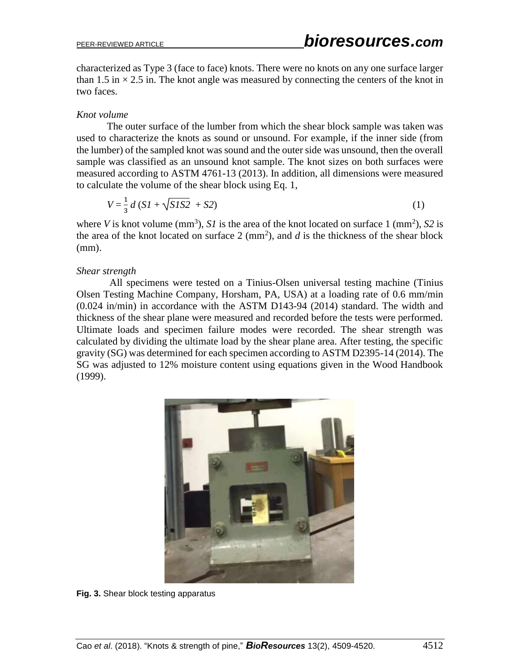characterized as Type 3 (face to face) knots. There were no knots on any one surface larger than 1.5 in  $\times$  2.5 in. The knot angle was measured by connecting the centers of the knot in two faces.

### *Knot volume*

The outer surface of the lumber from which the shear block sample was taken was used to characterize the knots as sound or unsound. For example, if the inner side (from the lumber) of the sampled knot was sound and the outer side was unsound, then the overall sample was classified as an unsound knot sample. The knot sizes on both surfaces were measured according to ASTM 4761-13 (2013). In addition, all dimensions were measured to calculate the volume of the shear block using Eq. 1,

$$
V = \frac{1}{3} d (SI + \sqrt{SIS2} + S2)
$$
 (1)

where *V* is knot volume (mm<sup>3</sup>), *S1* is the area of the knot located on surface 1 (mm<sup>2</sup>), *S2* is the area of the knot located on surface  $2 \, \text{(mm)}$ , and  $d$  is the thickness of the shear block (mm).

#### *Shear strength*

All specimens were tested on a Tinius-Olsen universal testing machine (Tinius Olsen Testing Machine Company, Horsham, PA, USA) at a loading rate of 0.6 mm/min (0.024 in/min) in accordance with the ASTM D143-94 (2014) standard. The width and thickness of the shear plane were measured and recorded before the tests were performed. Ultimate loads and specimen failure modes were recorded. The shear strength was calculated by dividing the ultimate load by the shear plane area. After testing, the specific gravity (SG) was determined for each specimen according to ASTM D2395-14 (2014). The SG was adjusted to 12% moisture content using equations given in the Wood Handbook (1999).



**Fig. 3.** Shear block testing apparatus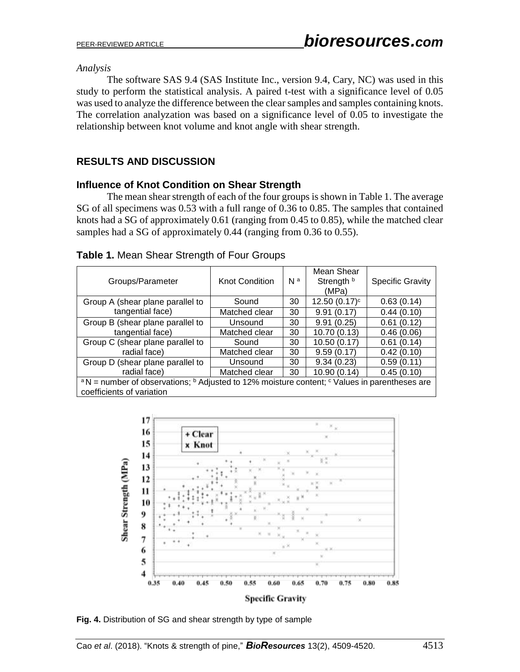#### *Analysis*

The software SAS 9.4 (SAS Institute Inc., version 9.4, Cary, NC) was used in this study to perform the statistical analysis. A paired t-test with a significance level of 0.05 was used to analyze the difference between the clear samples and samples containing knots. The correlation analyzation was based on a significance level of 0.05 to investigate the relationship between knot volume and knot angle with shear strength.

# **RESULTS AND DISCUSSION**

## **Influence of Knot Condition on Shear Strength**

The mean shear strength of each of the four groups is shown in Table 1. The average SG of all specimens was 0.53 with a full range of 0.36 to 0.85. The samples that contained knots had a SG of approximately 0.61 (ranging from 0.45 to 0.85), while the matched clear samples had a SG of approximately 0.44 (ranging from 0.36 to 0.55).

| Groups/Parameter                                                                                                               | <b>Knot Condition</b> | N <sup>a</sup> | Mean Shear<br>Strength b<br>(MPa) | <b>Specific Gravity</b> |  |  |
|--------------------------------------------------------------------------------------------------------------------------------|-----------------------|----------------|-----------------------------------|-------------------------|--|--|
| Group A (shear plane parallel to                                                                                               | Sound                 | 30             | $12.50(0.17)^c$                   | 0.63(0.14)              |  |  |
| tangential face)                                                                                                               | Matched clear         | 30             | 9.91(0.17)                        | 0.44(0.10)              |  |  |
| Group B (shear plane parallel to                                                                                               | Unsound               | 30             | 9.91(0.25)                        | 0.61(0.12)              |  |  |
| tangential face)                                                                                                               | Matched clear         | 30             | 10.70 (0.13)                      | 0.46(0.06)              |  |  |
| Group C (shear plane parallel to                                                                                               | Sound                 | 30             | 10.50(0.17)                       | 0.61(0.14)              |  |  |
| radial face)                                                                                                                   | Matched clear         | 30             | 9.59(0.17)                        | 0.42(0.10)              |  |  |
| Group D (shear plane parallel to                                                                                               | Unsound               | 30             | 9.34(0.23)                        | 0.59(0.11)              |  |  |
| radial face)                                                                                                                   | Matched clear         | 30             | 10.90 (0.14)                      | 0.45(0.10)              |  |  |
| <sup>a</sup> N = number of observations; <sup>b</sup> Adjusted to 12% moisture content; <sup>c</sup> Values in parentheses are |                       |                |                                   |                         |  |  |
| coefficients of variation                                                                                                      |                       |                |                                   |                         |  |  |

## **Table 1.** Mean Shear Strength of Four Groups



**Fig. 4.** Distribution of SG and shear strength by type of sample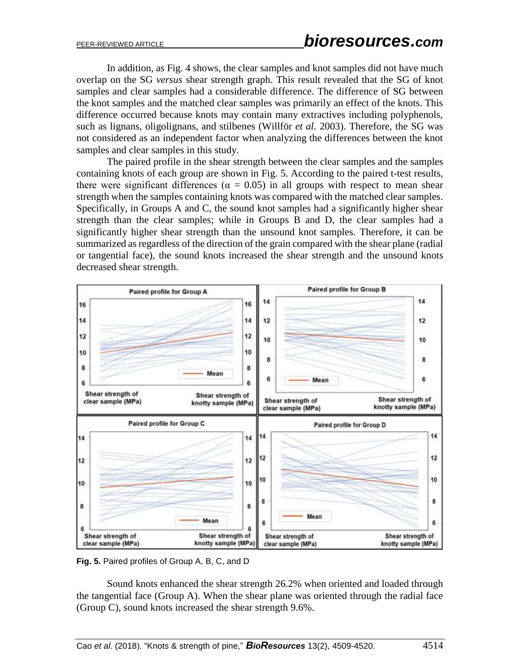In addition, as Fig. 4 shows, the clear samples and knot samples did not have much overlap on the SG *versus* shear strength graph. This result revealed that the SG of knot samples and clear samples had a considerable difference. The difference of SG between the knot samples and the matched clear samples was primarily an effect of the knots. This difference occurred because knots may contain many extractives including polyphenols, such as lignans, oligolignans, and stilbenes (Will[för](http://pubs.acs.org/author/Willf%C3%B6r%2C+Stefan+M) *et al.* 2003). Therefore, the SG was not considered as an independent factor when analyzing the differences between the knot samples and clear samples in this study.

The paired profile in the shear strength between the clear samples and the samples containing knots of each group are shown in Fig. 5. According to the paired t-test results, there were significant differences ( $\alpha = 0.05$ ) in all groups with respect to mean shear strength when the samples containing knots was compared with the matched clear samples. Specifically, in Groups A and C, the sound knot samples had a significantly higher shear strength than the clear samples; while in Groups B and D, the clear samples had a significantly higher shear strength than the unsound knot samples. Therefore, it can be summarized as regardless of the direction of the grain compared with the shear plane (radial or tangential face), the sound knots increased the shear strength and the unsound knots decreased shear strength.



**Fig. 5.** Paired profiles of Group A, B, C, and D

Sound knots enhanced the shear strength 26.2% when oriented and loaded through the tangential face (Group A). When the shear plane was oriented through the radial face (Group C), sound knots increased the shear strength 9.6%.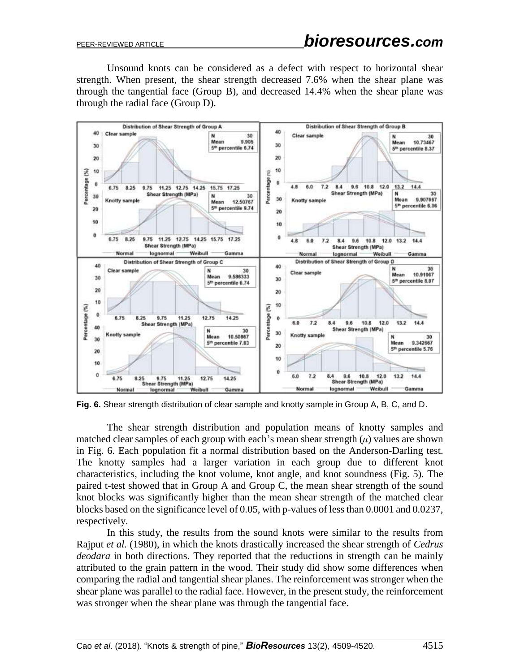Unsound knots can be considered as a defect with respect to horizontal shear strength. When present, the shear strength decreased 7.6% when the shear plane was through the tangential face (Group B), and decreased 14.4% when the shear plane was through the radial face (Group D).



**Fig. 6.** Shear strength distribution of clear sample and knotty sample in Group A, B, C, and D.

The shear strength distribution and population means of knotty samples and matched clear samples of each group with each's mean shear strength  $(\mu)$  values are shown in Fig. 6. Each population fit a normal distribution based on the Anderson-Darling test. The knotty samples had a larger variation in each group due to different knot characteristics, including the knot volume, knot angle, and knot soundness (Fig. 5). The paired t-test showed that in Group A and Group C, the mean shear strength of the sound knot blocks was significantly higher than the mean shear strength of the matched clear blocks based on the significance level of 0.05, with p-values of less than 0.0001 and 0.0237, respectively.

In this study, the results from the sound knots were similar to the results from Rajput *et al.* (1980), in which the knots drastically increased the shear strength of *Cedrus deodara* in both directions. They reported that the reductions in strength can be mainly attributed to the grain pattern in the wood. Their study did show some differences when comparing the radial and tangential shear planes. The reinforcement was stronger when the shear plane was parallel to the radial face. However, in the present study, the reinforcement was stronger when the shear plane was through the tangential face.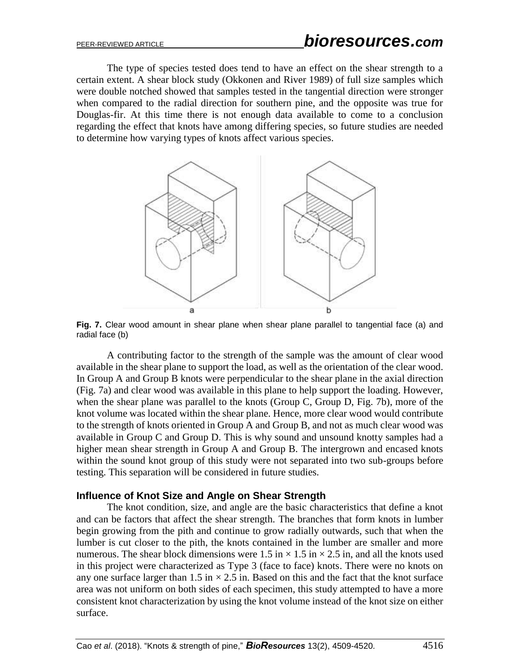The type of species tested does tend to have an effect on the shear strength to a certain extent. A shear block study (Okkonen and River 1989) of full size samples which were double notched showed that samples tested in the tangential direction were stronger when compared to the radial direction for southern pine, and the opposite was true for Douglas-fir. At this time there is not enough data available to come to a conclusion regarding the effect that knots have among differing species, so future studies are needed to determine how varying types of knots affect various species.



**Fig. 7.** Clear wood amount in shear plane when shear plane parallel to tangential face (a) and radial face (b)

A contributing factor to the strength of the sample was the amount of clear wood available in the shear plane to support the load, as well as the orientation of the clear wood. In Group A and Group B knots were perpendicular to the shear plane in the axial direction (Fig. 7a) and clear wood was available in this plane to help support the loading. However, when the shear plane was parallel to the knots (Group C, Group D, Fig. 7b), more of the knot volume was located within the shear plane. Hence, more clear wood would contribute to the strength of knots oriented in Group A and Group B, and not as much clear wood was available in Group C and Group D. This is why sound and unsound knotty samples had a higher mean shear strength in Group A and Group B. The intergrown and encased knots within the sound knot group of this study were not separated into two sub-groups before testing. This separation will be considered in future studies.

#### **Influence of Knot Size and Angle on Shear Strength**

The knot condition, size, and angle are the basic characteristics that define a knot and can be factors that affect the shear strength. The branches that form knots in lumber begin growing from the pith and continue to grow radially outwards, such that when the lumber is cut closer to the pith, the knots contained in the lumber are smaller and more numerous. The shear block dimensions were 1.5 in  $\times$  1.5 in  $\times$  2.5 in, and all the knots used in this project were characterized as Type 3 (face to face) knots. There were no knots on any one surface larger than 1.5 in  $\times$  2.5 in. Based on this and the fact that the knot surface area was not uniform on both sides of each specimen, this study attempted to have a more consistent knot characterization by using the knot volume instead of the knot size on either surface.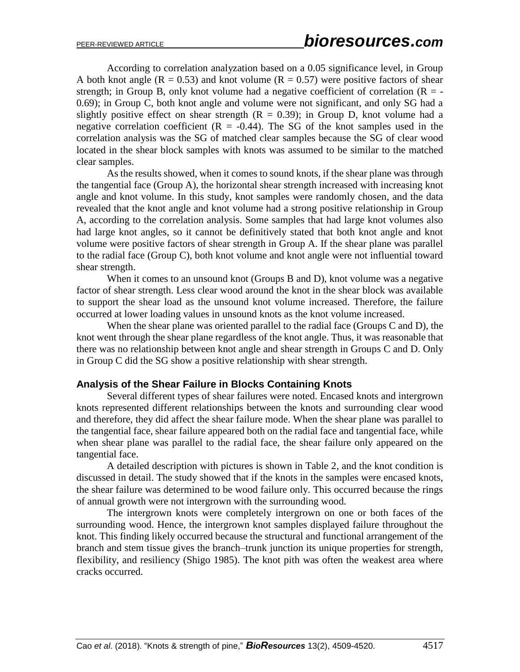According to correlation analyzation based on a 0.05 significance level, in Group A both knot angle ( $R = 0.53$ ) and knot volume ( $R = 0.57$ ) were positive factors of shear strength; in Group B, only knot volume had a negative coefficient of correlation ( $R = -$ 0.69); in Group C, both knot angle and volume were not significant, and only SG had a slightly positive effect on shear strength  $(R = 0.39)$ ; in Group D, knot volume had a negative correlation coefficient  $(R = -0.44)$ . The SG of the knot samples used in the correlation analysis was the SG of matched clear samples because the SG of clear wood located in the shear block samples with knots was assumed to be similar to the matched clear samples.

As the results showed, when it comes to sound knots, if the shear plane was through the tangential face (Group A), the horizontal shear strength increased with increasing knot angle and knot volume. In this study, knot samples were randomly chosen, and the data revealed that the knot angle and knot volume had a strong positive relationship in Group A, according to the correlation analysis. Some samples that had large knot volumes also had large knot angles, so it cannot be definitively stated that both knot angle and knot volume were positive factors of shear strength in Group A. If the shear plane was parallel to the radial face (Group C), both knot volume and knot angle were not influential toward shear strength.

When it comes to an unsound knot (Groups B and D), knot volume was a negative factor of shear strength. Less clear wood around the knot in the shear block was available to support the shear load as the unsound knot volume increased. Therefore, the failure occurred at lower loading values in unsound knots as the knot volume increased.

When the shear plane was oriented parallel to the radial face (Groups C and D), the knot went through the shear plane regardless of the knot angle. Thus, it was reasonable that there was no relationship between knot angle and shear strength in Groups C and D. Only in Group C did the SG show a positive relationship with shear strength.

## **Analysis of the Shear Failure in Blocks Containing Knots**

Several different types of shear failures were noted. Encased knots and intergrown knots represented different relationships between the knots and surrounding clear wood and therefore, they did affect the shear failure mode. When the shear plane was parallel to the tangential face, shear failure appeared both on the radial face and tangential face, while when shear plane was parallel to the radial face, the shear failure only appeared on the tangential face.

A detailed description with pictures is shown in Table 2, and the knot condition is discussed in detail. The study showed that if the knots in the samples were encased knots, the shear failure was determined to be wood failure only. This occurred because the rings of annual growth were not intergrown with the surrounding wood.

The intergrown knots were completely intergrown on one or both faces of the surrounding wood. Hence, the intergrown knot samples displayed failure throughout the knot. This finding likely occurred because the structural and functional arrangement of the branch and stem tissue gives the branch–trunk junction its unique properties for strength, flexibility, and resiliency (Shigo 1985). The knot pith was often the weakest area where cracks occurred.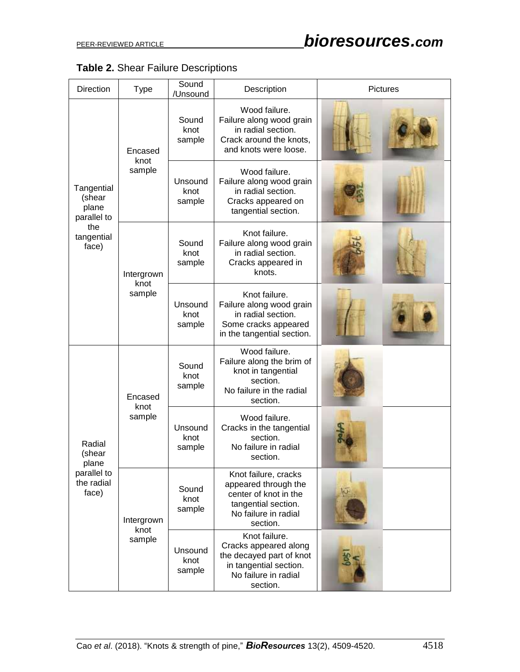| Table 2. Shear Failure Descriptions |
|-------------------------------------|
|-------------------------------------|

| <b>Direction</b>                                                           | <b>Type</b>                  | Sound<br>/Unsound         | Description                                                                                                                      | <b>Pictures</b> |  |
|----------------------------------------------------------------------------|------------------------------|---------------------------|----------------------------------------------------------------------------------------------------------------------------------|-----------------|--|
| Tangential<br>(shear<br>plane<br>parallel to<br>the<br>tangential<br>face) | Encased<br>knot<br>sample    | Sound<br>knot<br>sample   | Wood failure.<br>Failure along wood grain<br>in radial section.<br>Crack around the knots,<br>and knots were loose.              |                 |  |
|                                                                            |                              | Unsound<br>knot<br>sample | Wood failure.<br>Failure along wood grain<br>in radial section.<br>Cracks appeared on<br>tangential section.                     |                 |  |
|                                                                            | Intergrown<br>knot<br>sample | Sound<br>knot<br>sample   | Knot failure.<br>Failure along wood grain<br>in radial section.<br>Cracks appeared in<br>knots.                                  |                 |  |
|                                                                            |                              | Unsound<br>knot<br>sample | Knot failure.<br>Failure along wood grain<br>in radial section.<br>Some cracks appeared<br>in the tangential section.            |                 |  |
| Radial<br>(shear<br>plane<br>parallel to<br>the radial<br>face)            | Encased<br>knot<br>sample    | Sound<br>knot<br>sample   | Wood failure.<br>Failure along the brim of<br>knot in tangential<br>section.<br>No failure in the radial<br>section.             |                 |  |
|                                                                            |                              | Unsound<br>knot<br>sample | Wood failure.<br>Cracks in the tangential<br>section.<br>No failure in radial<br>section.                                        |                 |  |
|                                                                            | Intergrown<br>knot<br>sample | Sound<br>knot<br>sample   | Knot failure, cracks<br>appeared through the<br>center of knot in the<br>tangential section.<br>No failure in radial<br>section. |                 |  |
|                                                                            |                              | Unsound<br>knot<br>sample | Knot failure.<br>Cracks appeared along<br>the decayed part of knot<br>in tangential section.<br>No failure in radial<br>section. |                 |  |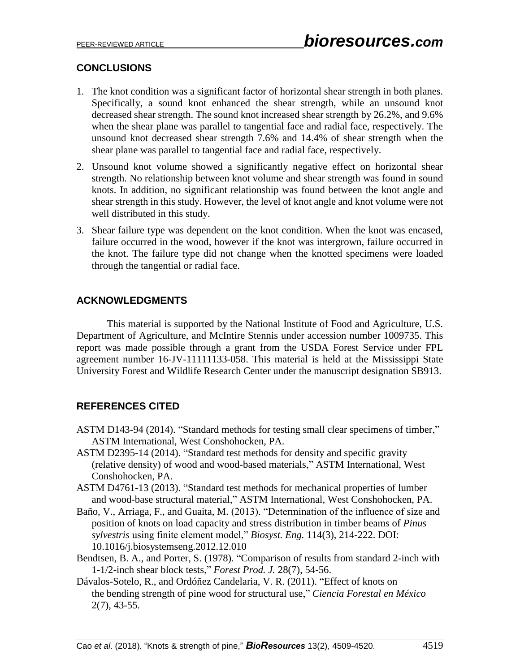# **CONCLUSIONS**

- 1. The knot condition was a significant factor of horizontal shear strength in both planes. Specifically, a sound knot enhanced the shear strength, while an unsound knot decreased shear strength. The sound knot increased shear strength by 26.2%, and 9.6% when the shear plane was parallel to tangential face and radial face, respectively. The unsound knot decreased shear strength 7.6% and 14.4% of shear strength when the shear plane was parallel to tangential face and radial face, respectively.
- 2. Unsound knot volume showed a significantly negative effect on horizontal shear strength. No relationship between knot volume and shear strength was found in sound knots. In addition, no significant relationship was found between the knot angle and shear strength in this study. However, the level of knot angle and knot volume were not well distributed in this study.
- 3. Shear failure type was dependent on the knot condition. When the knot was encased, failure occurred in the wood, however if the knot was intergrown, failure occurred in the knot. The failure type did not change when the knotted specimens were loaded through the tangential or radial face.

## **ACKNOWLEDGMENTS**

This material is supported by the National Institute of Food and Agriculture, U.S. Department of Agriculture, and McIntire Stennis under accession number 1009735. This report was made possible through a grant from the USDA Forest Service under FPL agreement number 16-JV-11111133-058. This material is held at the Mississippi State University Forest and Wildlife Research Center under the manuscript designation SB913.

## **REFERENCES CITED**

- ASTM D143-94 (2014). "Standard methods for testing small clear specimens of timber," ASTM International, West Conshohocken, PA.
- ASTM D2395-14 (2014). "Standard test methods for density and specific gravity (relative density) of wood and wood-based materials," ASTM International, West Conshohocken, PA.
- ASTM D4761-13 (2013). "Standard test methods for mechanical properties of lumber and wood-base structural material," ASTM International, West Conshohocken, PA.
- Baño, V., Arriaga, F., and Guaita, M. (2013). "Determination of the influence of size and position of knots on load capacity and stress distribution in timber beams of *Pinus sylvestris* using finite element model," *Biosyst. Eng.* 114(3), 214-222. DOI: 10.1016/j.biosystemseng.2012.12.010
- Bendtsen, B. A., and Porter, S. (1978). "Comparison of results from standard 2-inch with 1-1/2-inch shear block tests," *Forest Prod. J.* 28(7), 54-56.
- Dávalos-Sotelo, R., and Ordóñez Candelaria, V. R. (2011). "Effect of knots on the bending strength of pine wood for structural use," *Ciencia Forestal en México* 2(7), 43-55.